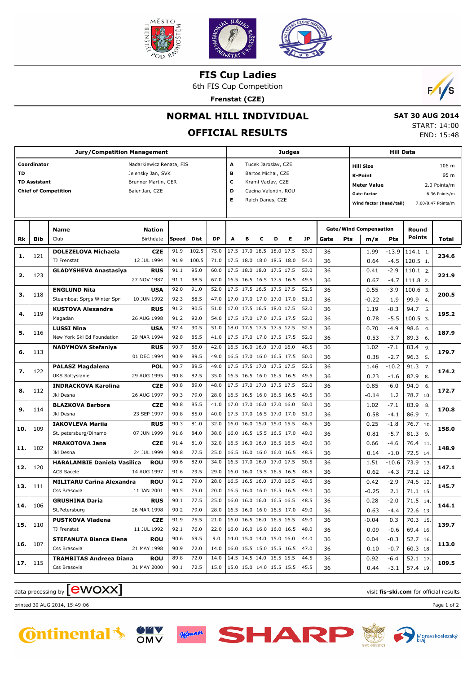

**FIS Cup Ladies**

6th FIS Cup Competition

**Frenstat (CZE)**



 **SAT 30 AUG 2014** START: 14:00 END: 15:48

### **NORMAL HILL INDIVIDUAL**

### **OFFICIAL RESULTS**

**Jury/Competition Management Coordinator Coordinator Nadarkiewicz Renata, FIS TD** Jelensky Jan, SVK **TD Assistant** Brunner Martin, GER **Chief of Competition** Baier Jan, CZE **Judges A** Tucek Jaroslav, CZE **B** Bartos Michal, CZE **C** Kraml Vaclav, CZE **D** Cacina Valentin, ROU **E** Raich Danes, CZE **Hill Data K-Point** 95 m **Hill Size** 106 m **Meter Value** 2.0 Points/m Gate factor 6.36 Points/m **Wind factor (head/tail)** 7.00/8.47 Points/m **Bib Name** Club Birthdate **Nation Rk Speed Dist DP A B C D E JP Total Round m/s Pts Points Gate/Wind Compensation Gate Pts DOLEZELOVA Michaela** TJ Frenstat **CZE** 12 JUL 1994 121 91.9 102.5 | 75.0 |17.5 17.0 18.5 18.0 17.5 | 53.0 | 36 | 1.99 -13.9 |114.1 91.9 100.5 71.0 17.5 18.0 18.0 18.5 18.0 54.0 36 0.64 -4.5 120.5 1. 1. **1. 234.6**  $-13C$ -4.5 1.99 0.64 36 36 **GLADYSHEVA Anastasiya RUS** 27 NOV 1987 123 911 950 600 175 180 180 175 175 530 91.1 98.5 67.0 16.5 16.5 16.5 17.5 16.5 49.5 36 0.67 -4.7 111.8 2.  $11012$ **2. 221.9**  $-2.9$ -4.7 0.41 0.67 36 36 **ENGLUND Nita** Steamboat Sprgs Winter Spr **USA** 10 JUN 1992 118 92.0 91.0 52.0 17.5 17.5 16.5 17.5 17.5 52.5 36 0.55 -3.9 100.6 92.3 88.5 47.0 17.0 17.0 17.0 17.0 51.0 36  $\sqrt{273}$  19 999.4 3. **3. 200.5**  $-3.9$  1.9  $0.55$ -0.22 36 36 **KUSTOVA Alexandra** Magadan **RUS** 26 AUG 1998 119 91.2 90.5 51.0 17.0 17.5 16.5 18.0 17.5 52.0 36 11.19 -8.3 94.7 91.2 92.0 54.0 17.5 17.0 17.0 17.5 17.5 52.0 36 0.78 -5.5 100.5 3 5. **4. 195.2** -8.3 -5.5 1.19 0.78 36 36 **LUSSI Nina** New York Ski Ed Foundation **USA** 29 MAR 1994 116 92.4 90.5 51.0 18.0 17.5 17.5 17.5 52.5 36 0.70 -4.9 98.6 92.8 85.5 41.0 17.5 17.0 17.0 17.5 17.5 52.0 89.3 6. 4. **5. 187.9**  $-4.9$ -3.7 0.70 0.53 36 36 **NADYMOVA Stefaniya RUS** 01 DEC 1994 113 90.7 86.0 42.0 16.5 16.0 16.0 17.0 16.0 48.5 36 1.02 -7.1 83.4 90.9 89.5 49.0 16.5 17.0 16.0 16.5 17.5 50.0 96.3 5. 9. **6. 179.7**  $-7.1$ -2.7 1.02 0.38 36 36 **PALASZ Magdalena** UKS Soltysianie **POL** 29 AUG 1995 122 90.7 89.5 | 49.0 |17.5 17.5 17.0 17.5 17.5 | 52.5 | 36 | 1.46 -10.2 | 91.3 90.8 82.5 35.0 16.5 16.5 16.0 16.5 16.5 49.5 36 1023 -16 829 8. 7. **7. 174.2**  $-10.2$ -1.6 1.46 0.23  $\overline{\mathcal{R}}$  36 **INDRACKOVA Karolina** Jkl Desna **CZE** 26 AUG 1997 112 90.8 89.0 | 48.0 |17.5 17.0 17.0 17.5 17.5 | 52.0 | 36 | 0.85 -6.0 | 94.0 90.3 79.0 28.0 16.5 16.5 16.0 16.5 16.5 49.5 78.7 10. 6. **8. 172.7** -6.0 1.2 0.85  $-0.14$  36 36 **BLAZKOVA Barbora** Jkl Desna **CZE** 23 SEP 1997 114 90.8 85.5 41.0 17.0 17.0 16.0 17.0 16.0 50.0 36 102 -71 83.9 90.8 85.0 40.0 17.5 17.0 16.5 17.0 17.0 51.0 86.9 7. 8. **9. 170.8**  $-7.1$ -4.1 1.02 0.58  $\overline{36}$  36 **IAKOVLEVA Mariia** St. petersburg/Dinamo **RUS** 07 JUN 1999 109 90.3 81.0 32.0 16.0 16.0 15.0 15.0 15.5 46.5 36 0.25 -1.8 76.7 91.6 84.0 38.0 16.0 16.5 15.5 16.5 17.0 49.0 81.3 9.  $\overline{10}$ **10. 158.0**  $-1.8$ -5.7  $0.25$  0.81 36 36 **MRAKOTOVA Jana** Jkl Desna **CZE** 24 JUL 1999 102 91.4 81.0 32.0 16.5 16.0 16.0 16.5 16.5 49.0 90.8 77.5 25.0 16.5 16.0 16.0 16.0 16.5 48.5 72.5 14. 76.4 11 **11. 148.9** -4.6 -1.0 0.66 0.14 36 36 **HARALAMBIE Daniela Vasilica** ACS Sacele **ROU** 14 AUG 1997 120 90.6 82.0 | 34.0 |16.5 17.0 16.0 17.0 17.5 | 50.5 | 36 | 1.51 -10.6 | 73.9 91.6 79.5 29.0 16.0 16.0 15.5 16.5 16.5 48.5 36 0.62 -4.3 73.2 12  $\overline{13}$ **12. 147.1**  $-10.6$  $-4.3$  1.51 0.62 36 36 **MILITARU Carina Alexandra** Css Brasovia **ROU** 11 JAN 2001 111 91.2 79.0 28.0 16.5 16.5 16.0 17.0 16.5 49.5 74.6 90.5 75.0 20.0 16.5 16.0 16.0 16.5 16.5 49.0 71.1 15. 12. **13. 145.7** -2.9 2.1 0.42  $-0.25$  36 36 **GRUSHINA Daria** St.Petersburg **RUS** 26 MAR 1998 106 90.1 77.5 | 25.0 |16.0 16.0 16.0 16.5 16.5 | 48.5 | 36 | 0.28 -2.0 | 71.5 90.2 79.0 28.0 16.5 16.0 16.0 16.5 17.0 49.0 72.6 13. 14. **14. 144.1**  $-2.0$  $-4.4$  0.28 0.63 36 36 **PUSTKOVA Vladena** TJ Frenstat **CZE** 11 JUL 1992 110 91.9 75.5 21.0 16.0 16.5 16.0 16.5 16.5 49.0 36  $-0.04$  0.3 70.3 92.1 76.0 22.0 16.0 16.0 16.0 16.5 48.0 36 0.09 -0.6 69.4 16 15. **15. 139.7** 0.3 -0.6  $-0.04$  0.09  $\overline{36}$  36 **STEFANUTA Bianca Elena** Css Brasovia **ROU** 21 MAY 1998 107 90.6 69.5 | 9.0 |14.0 15.0 14.0 15.0 16.0 | 44.0 | 36 | 10.04 -0.3 | 52.7 90.9 72.0 14.0 16.0 15.5 15.0 15.5 16.5 47.0 36  $\bigcup_{10}^{3}$  0.10 -0.7 60.3 18 16. **16. 113.0** -0.3 -0.7 0.04 0.10  $\overline{\mathcal{R}}$  36 **TRAMBITAS Andreea Diana** Css Brasovia **ROU** 31 MAY 2000 115 89.8 72.0 14.0 14.5 14.5 14.0 15.5 15.5 44.5 36 0.92 -6.4 52.1 90.1 72.5 15.0 15.0 15.0 14.0 15.5 15.5 45.5 36 0.44 -3.1 57.4 19 17. **17. 109.5** -6.4 -3.1 0.92 0.44  $\overline{36}$ 36

Monner

### $\alpha$  data processing by **CWOXX**  $\blacksquare$

printed 30 AUG 2014, 15:49:06 Page 1 of 2



**SHAR**